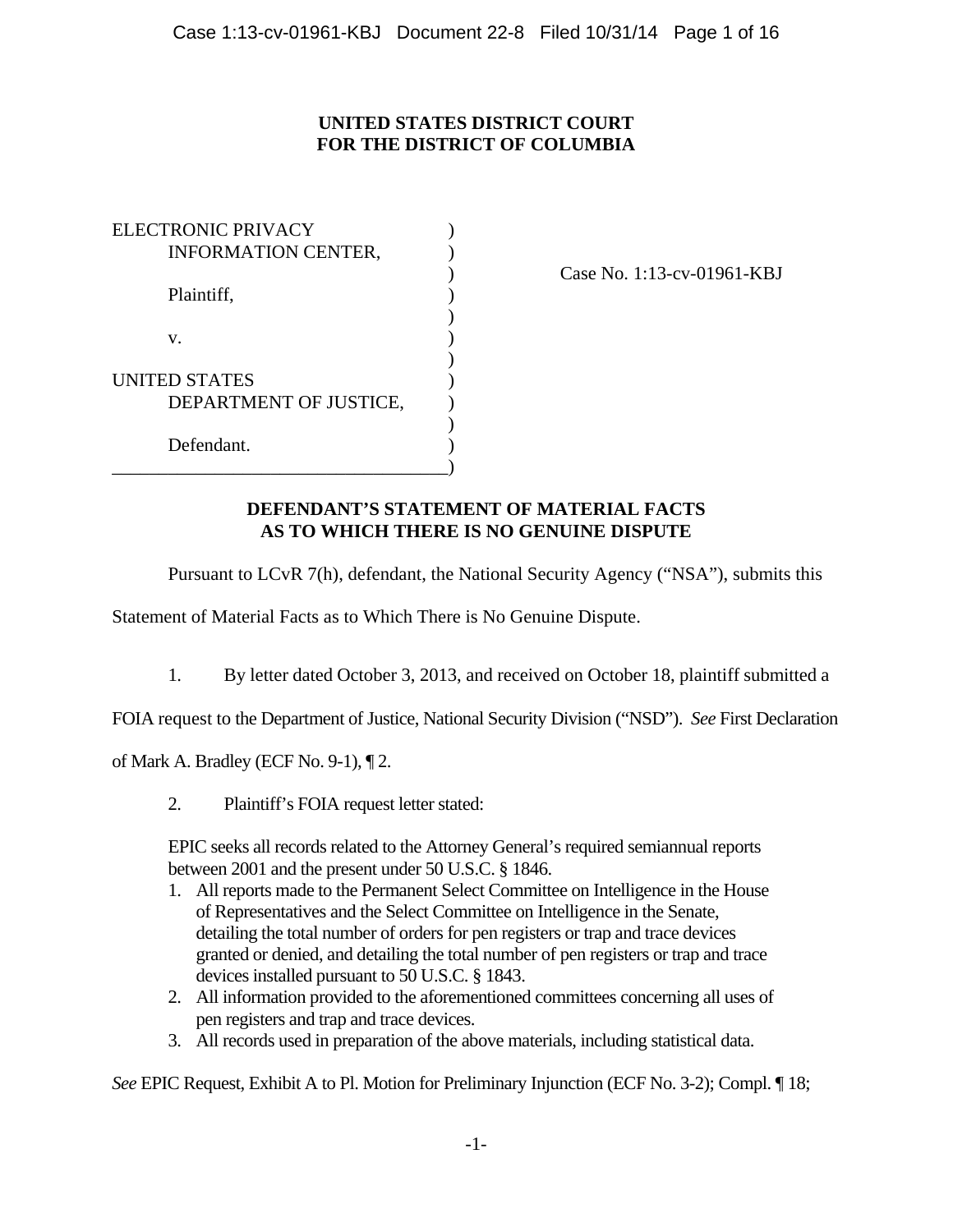# **UNITED STATES DISTRICT COURT FOR THE DISTRICT OF COLUMBIA**

| <b>ELECTRONIC PRIVACY</b>  |  |
|----------------------------|--|
| <b>INFORMATION CENTER,</b> |  |
|                            |  |
| Plaintiff,                 |  |
|                            |  |
| V.                         |  |
|                            |  |
| <b>UNITED STATES</b>       |  |
| DEPARTMENT OF JUSTICE,     |  |
|                            |  |
| Defendant.                 |  |
|                            |  |

) Case No. 1:13-cv-01961-KBJ

## **DEFENDANT'S STATEMENT OF MATERIAL FACTS AS TO WHICH THERE IS NO GENUINE DISPUTE**

Pursuant to LCvR 7(h), defendant, the National Security Agency ("NSA"), submits this

Statement of Material Facts as to Which There is No Genuine Dispute.

1. By letter dated October 3, 2013, and received on October 18, plaintiff submitted a

FOIA request to the Department of Justice, National Security Division ("NSD"). *See* First Declaration

of Mark A. Bradley (ECF No. 9-1), ¶ 2.

2. Plaintiff's FOIA request letter stated:

EPIC seeks all records related to the Attorney General's required semiannual reports between 2001 and the present under 50 U.S.C. § 1846.

- 1. All reports made to the Permanent Select Committee on Intelligence in the House of Representatives and the Select Committee on Intelligence in the Senate, detailing the total number of orders for pen registers or trap and trace devices granted or denied, and detailing the total number of pen registers or trap and trace devices installed pursuant to 50 U.S.C. § 1843.
- 2. All information provided to the aforementioned committees concerning all uses of pen registers and trap and trace devices.
- 3. All records used in preparation of the above materials, including statistical data.

*See* EPIC Request, Exhibit A to Pl. Motion for Preliminary Injunction (ECF No. 3-2); Compl. ¶ 18;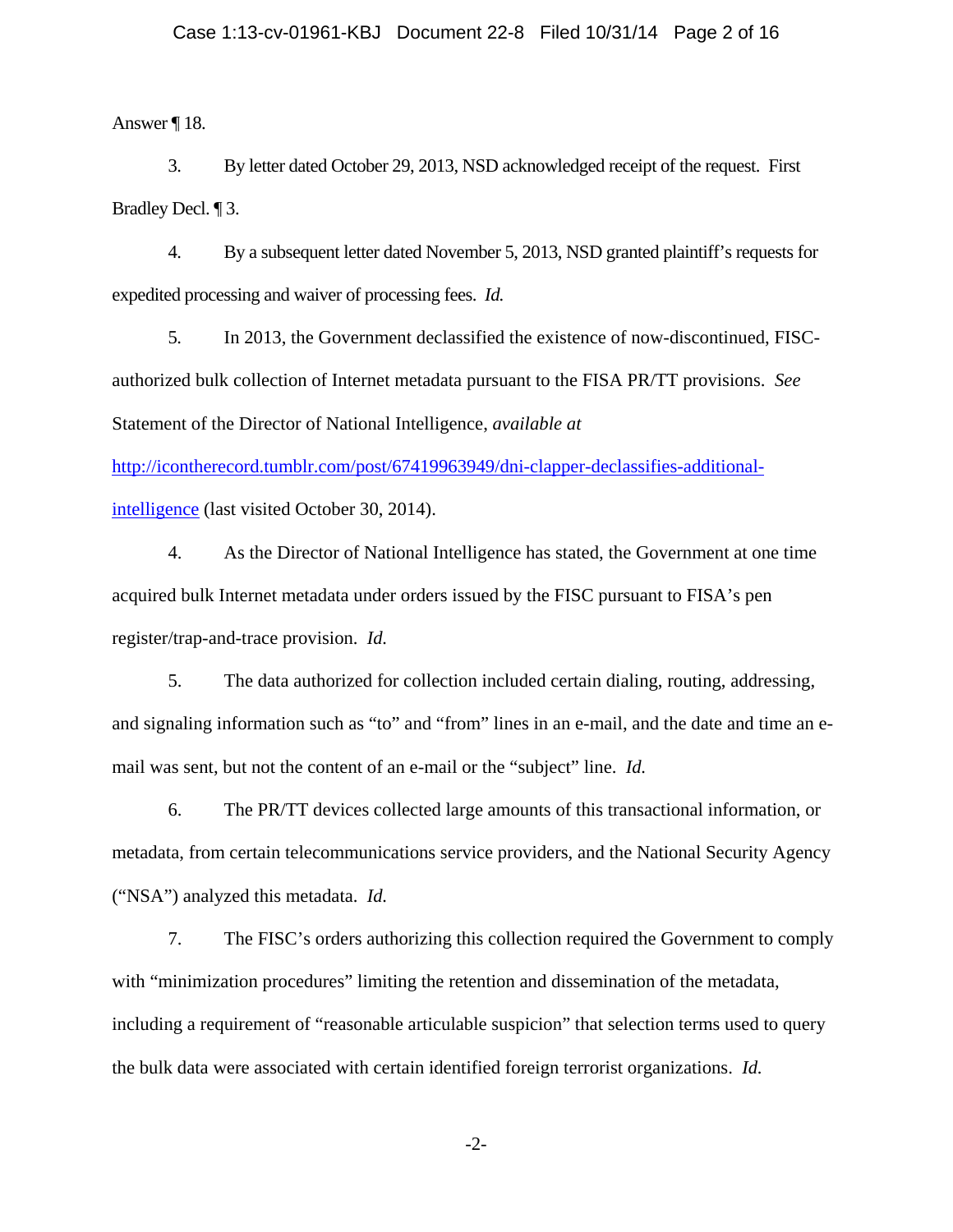Answer ¶ 18.

3. By letter dated October 29, 2013, NSD acknowledged receipt of the request. First Bradley Decl. ¶ 3.

4. By a subsequent letter dated November 5, 2013, NSD granted plaintiff's requests for expedited processing and waiver of processing fees. *Id.*

5. In 2013, the Government declassified the existence of now-discontinued, FISCauthorized bulk collection of Internet metadata pursuant to the FISA PR/TT provisions. *See* Statement of the Director of National Intelligence, *available at*

http://icontherecord.tumblr.com/post/67419963949/dni-clapper-declassifies-additionalintelligence (last visited October 30, 2014).

4. As the Director of National Intelligence has stated, the Government at one time acquired bulk Internet metadata under orders issued by the FISC pursuant to FISA's pen register/trap-and-trace provision. *Id.*

5. The data authorized for collection included certain dialing, routing, addressing, and signaling information such as "to" and "from" lines in an e-mail, and the date and time an email was sent, but not the content of an e-mail or the "subject" line. *Id.* 

6. The PR/TT devices collected large amounts of this transactional information, or metadata, from certain telecommunications service providers, and the National Security Agency ("NSA") analyzed this metadata. *Id.*

7. The FISC's orders authorizing this collection required the Government to comply with "minimization procedures" limiting the retention and dissemination of the metadata, including a requirement of "reasonable articulable suspicion" that selection terms used to query the bulk data were associated with certain identified foreign terrorist organizations. *Id.*

-2-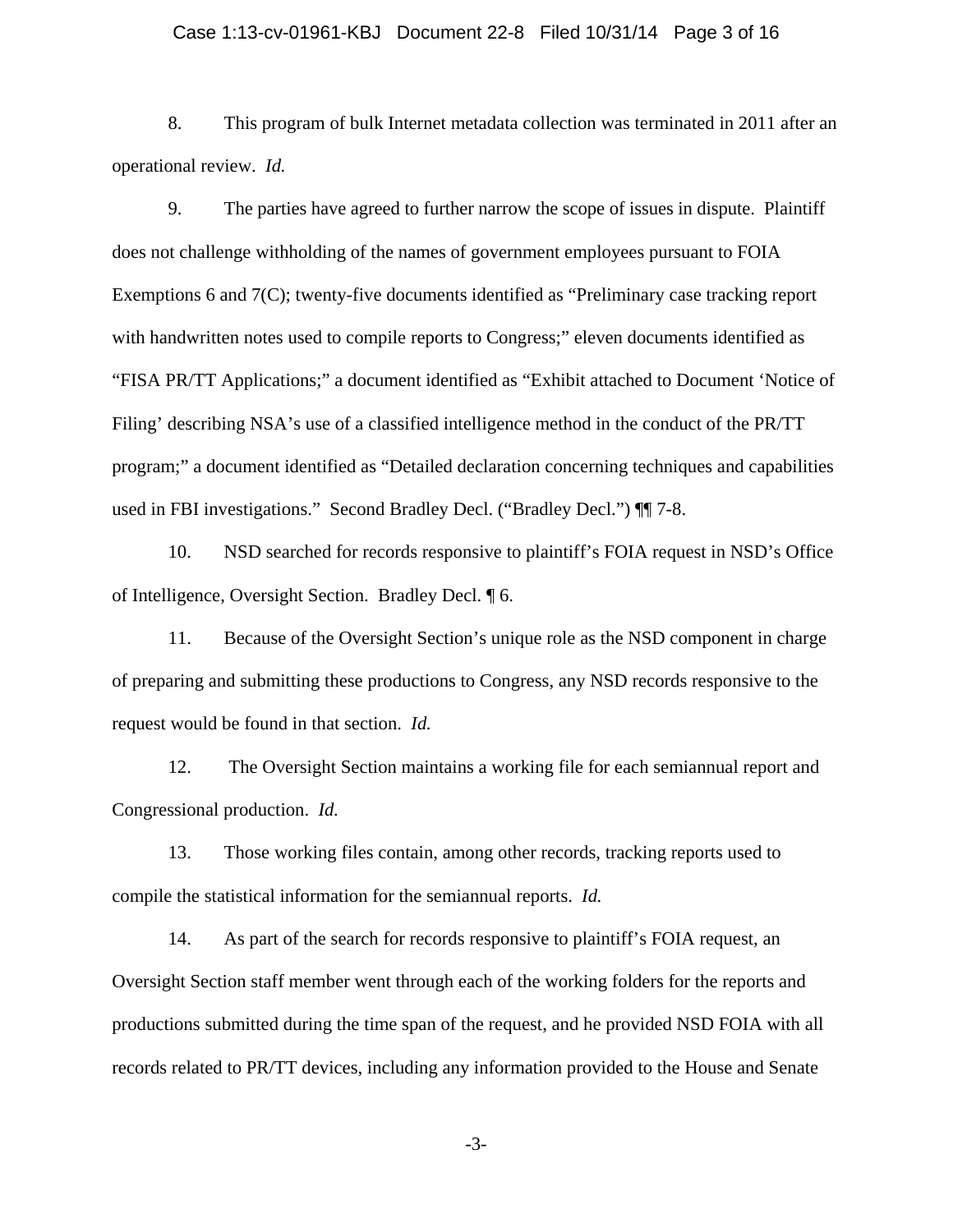#### Case 1:13-cv-01961-KBJ Document 22-8 Filed 10/31/14 Page 3 of 16

8. This program of bulk Internet metadata collection was terminated in 2011 after an operational review. *Id.*

9. The parties have agreed to further narrow the scope of issues in dispute. Plaintiff does not challenge withholding of the names of government employees pursuant to FOIA Exemptions 6 and 7(C); twenty-five documents identified as "Preliminary case tracking report with handwritten notes used to compile reports to Congress;" eleven documents identified as "FISA PR/TT Applications;" a document identified as "Exhibit attached to Document 'Notice of Filing' describing NSA's use of a classified intelligence method in the conduct of the PR/TT program;" a document identified as "Detailed declaration concerning techniques and capabilities used in FBI investigations." Second Bradley Decl. ("Bradley Decl.")  $\P$  7-8.

10. NSD searched for records responsive to plaintiff's FOIA request in NSD's Office of Intelligence, Oversight Section. Bradley Decl. ¶ 6.

11. Because of the Oversight Section's unique role as the NSD component in charge of preparing and submitting these productions to Congress, any NSD records responsive to the request would be found in that section. *Id.*

12. The Oversight Section maintains a working file for each semiannual report and Congressional production. *Id.*

13. Those working files contain, among other records, tracking reports used to compile the statistical information for the semiannual reports. *Id.*

14. As part of the search for records responsive to plaintiff's FOIA request, an Oversight Section staff member went through each of the working folders for the reports and productions submitted during the time span of the request, and he provided NSD FOIA with all records related to PR/TT devices, including any information provided to the House and Senate

-3-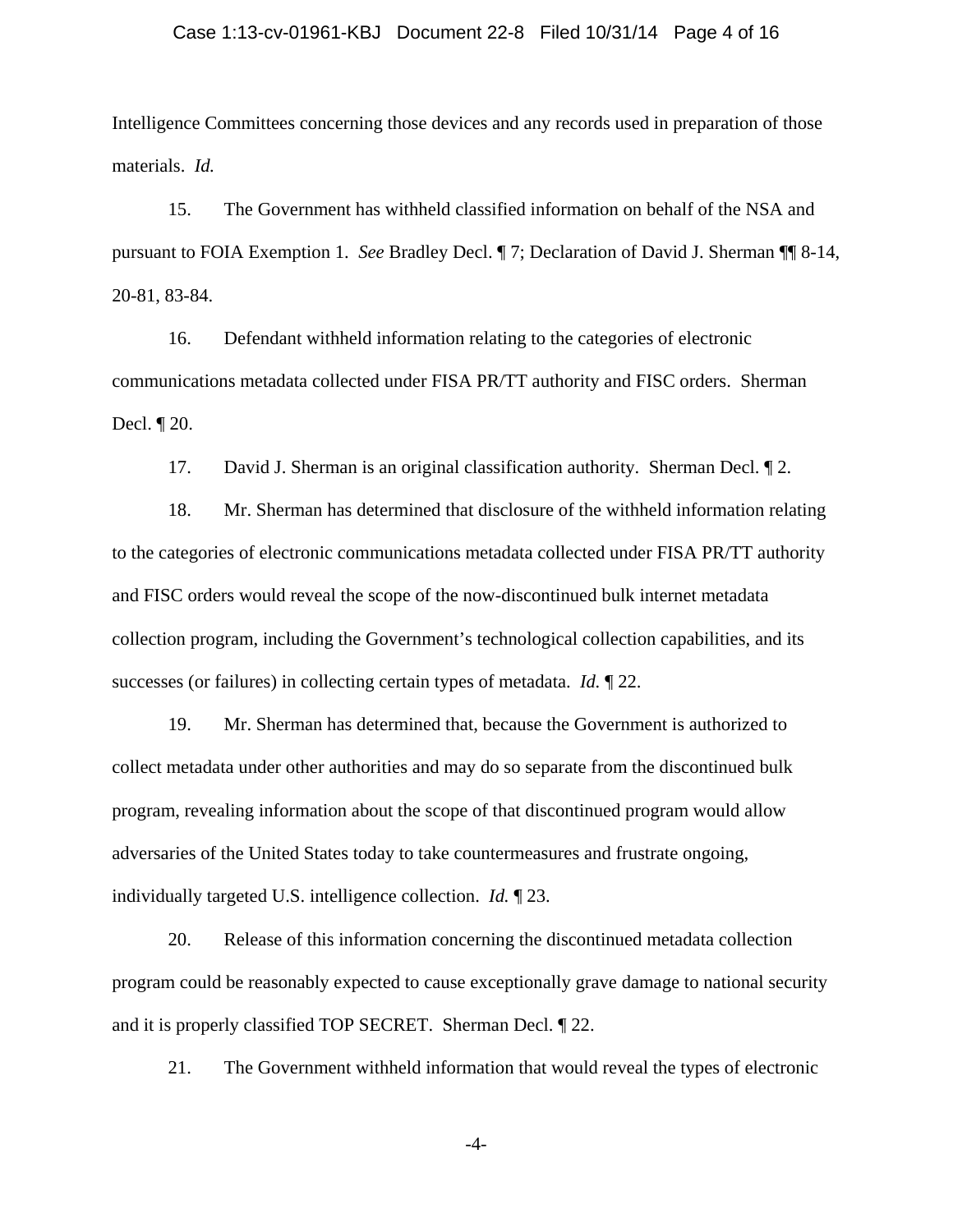## Case 1:13-cv-01961-KBJ Document 22-8 Filed 10/31/14 Page 4 of 16

Intelligence Committees concerning those devices and any records used in preparation of those materials. *Id.*

15. The Government has withheld classified information on behalf of the NSA and pursuant to FOIA Exemption 1. *See* Bradley Decl. ¶ 7; Declaration of David J. Sherman ¶¶ 8-14, 20-81, 83-84.

16. Defendant withheld information relating to the categories of electronic communications metadata collected under FISA PR/TT authority and FISC orders. Sherman Decl. ¶ 20.

17. David J. Sherman is an original classification authority. Sherman Decl. ¶ 2.

18. Mr. Sherman has determined that disclosure of the withheld information relating to the categories of electronic communications metadata collected under FISA PR/TT authority and FISC orders would reveal the scope of the now-discontinued bulk internet metadata collection program, including the Government's technological collection capabilities, and its successes (or failures) in collecting certain types of metadata. *Id.* ¶ 22.

19. Mr. Sherman has determined that, because the Government is authorized to collect metadata under other authorities and may do so separate from the discontinued bulk program, revealing information about the scope of that discontinued program would allow adversaries of the United States today to take countermeasures and frustrate ongoing, individually targeted U.S. intelligence collection. *Id.* ¶ 23.

20. Release of this information concerning the discontinued metadata collection program could be reasonably expected to cause exceptionally grave damage to national security and it is properly classified TOP SECRET. Sherman Decl. ¶ 22.

21. The Government withheld information that would reveal the types of electronic

-4-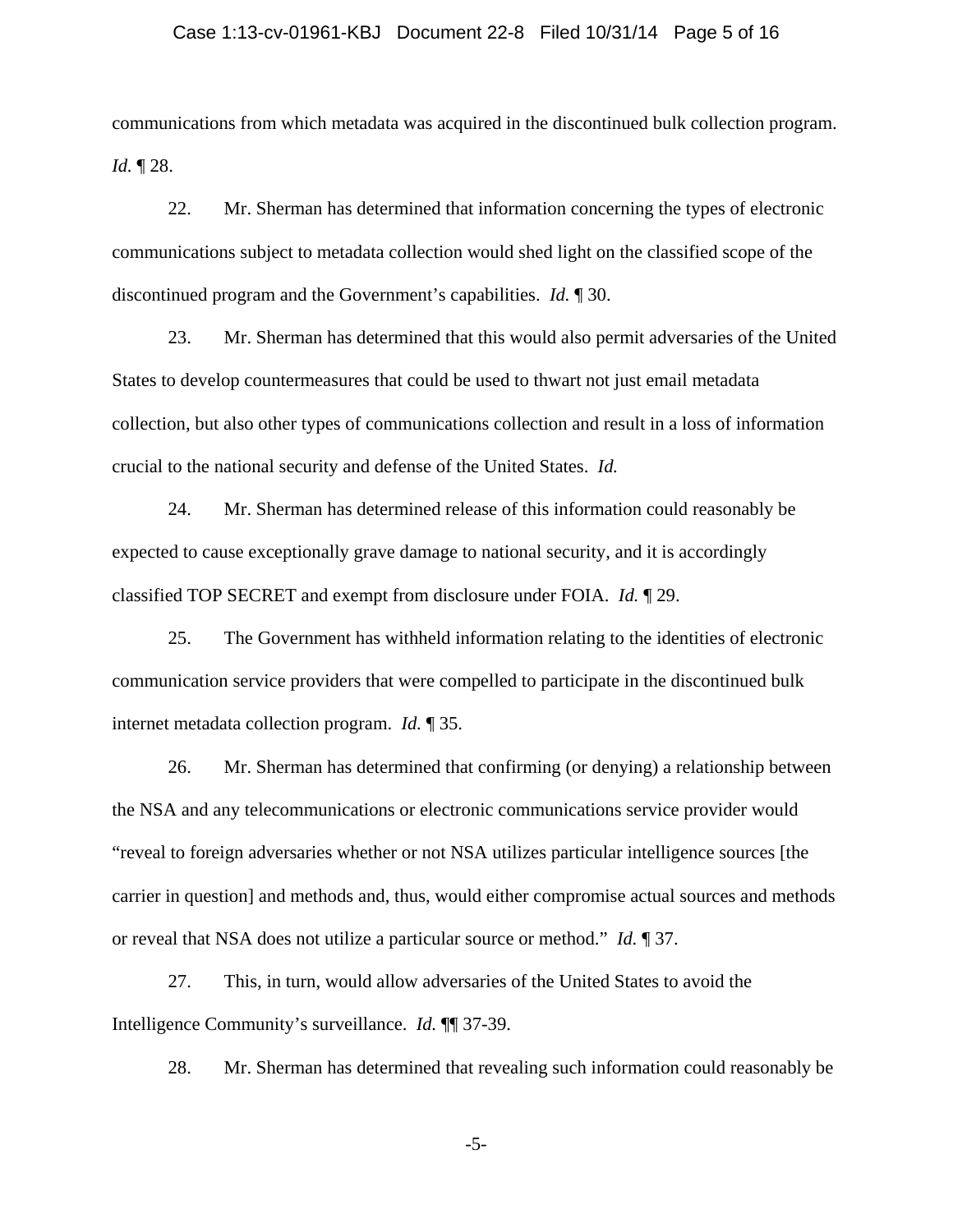#### Case 1:13-cv-01961-KBJ Document 22-8 Filed 10/31/14 Page 5 of 16

communications from which metadata was acquired in the discontinued bulk collection program. *Id.* ¶ 28.

22. Mr. Sherman has determined that information concerning the types of electronic communications subject to metadata collection would shed light on the classified scope of the discontinued program and the Government's capabilities. *Id.* ¶ 30.

23. Mr. Sherman has determined that this would also permit adversaries of the United States to develop countermeasures that could be used to thwart not just email metadata collection, but also other types of communications collection and result in a loss of information crucial to the national security and defense of the United States. *Id.*

24. Mr. Sherman has determined release of this information could reasonably be expected to cause exceptionally grave damage to national security, and it is accordingly classified TOP SECRET and exempt from disclosure under FOIA. *Id.* ¶ 29.

25. The Government has withheld information relating to the identities of electronic communication service providers that were compelled to participate in the discontinued bulk internet metadata collection program. *Id.* ¶ 35.

26. Mr. Sherman has determined that confirming (or denying) a relationship between the NSA and any telecommunications or electronic communications service provider would "reveal to foreign adversaries whether or not NSA utilizes particular intelligence sources [the carrier in question] and methods and, thus, would either compromise actual sources and methods or reveal that NSA does not utilize a particular source or method." *Id.* ¶ 37.

27. This, in turn, would allow adversaries of the United States to avoid the Intelligence Community's surveillance. *Id.* ¶¶ 37-39.

28. Mr. Sherman has determined that revealing such information could reasonably be

-5-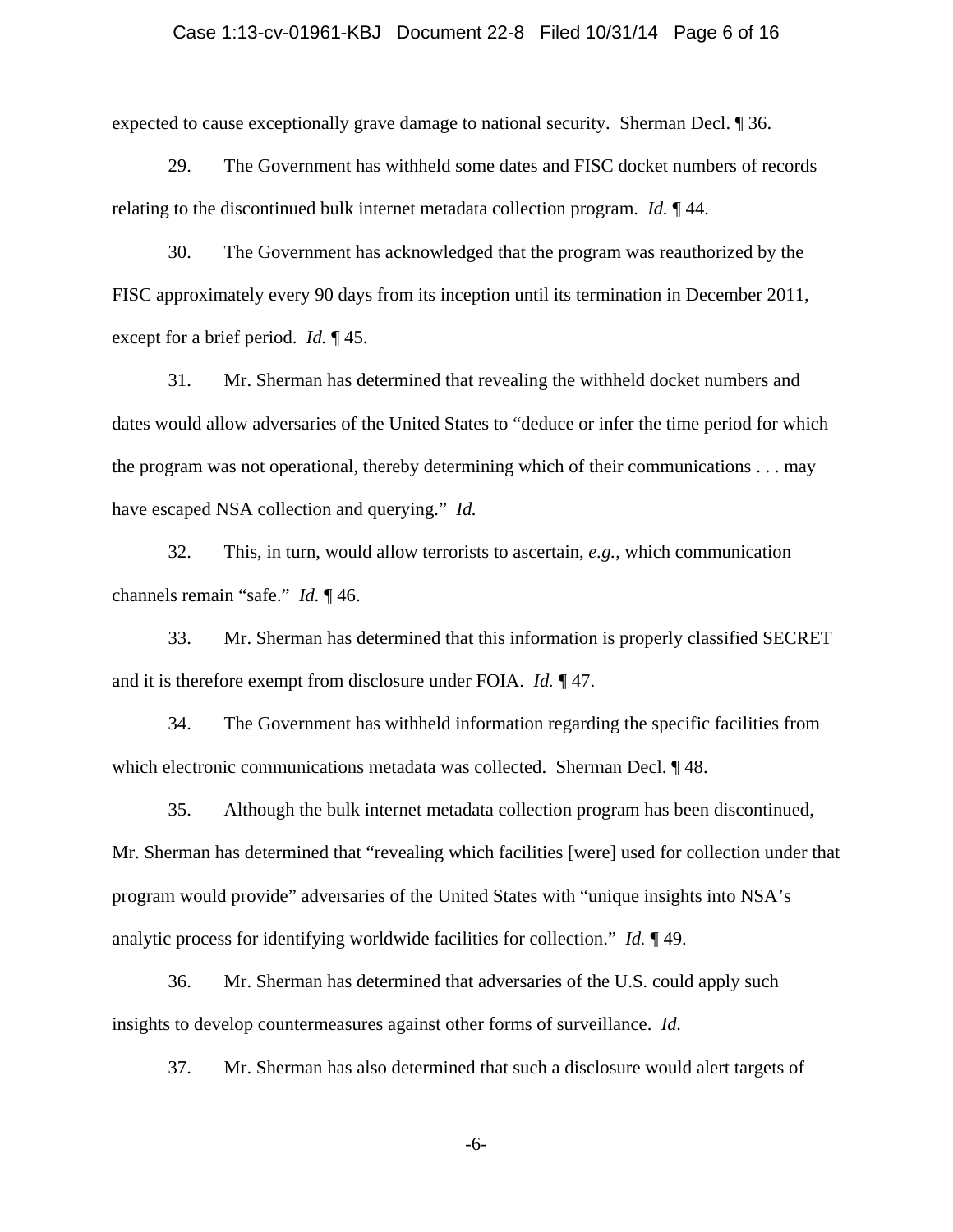## Case 1:13-cv-01961-KBJ Document 22-8 Filed 10/31/14 Page 6 of 16

expected to cause exceptionally grave damage to national security. Sherman Decl. ¶ 36.

29. The Government has withheld some dates and FISC docket numbers of records relating to the discontinued bulk internet metadata collection program. *Id.* ¶ 44.

30. The Government has acknowledged that the program was reauthorized by the FISC approximately every 90 days from its inception until its termination in December 2011, except for a brief period. *Id.* ¶ 45.

31. Mr. Sherman has determined that revealing the withheld docket numbers and dates would allow adversaries of the United States to "deduce or infer the time period for which the program was not operational, thereby determining which of their communications . . . may have escaped NSA collection and querying." *Id.*

32. This, in turn, would allow terrorists to ascertain, *e.g.*, which communication channels remain "safe." *Id.* ¶ 46.

33. Mr. Sherman has determined that this information is properly classified SECRET and it is therefore exempt from disclosure under FOIA. *Id.* ¶ 47.

34. The Government has withheld information regarding the specific facilities from which electronic communications metadata was collected. Sherman Decl.  $\P$  48.

35. Although the bulk internet metadata collection program has been discontinued, Mr. Sherman has determined that "revealing which facilities [were] used for collection under that program would provide" adversaries of the United States with "unique insights into NSA's analytic process for identifying worldwide facilities for collection." *Id.* ¶ 49.

36. Mr. Sherman has determined that adversaries of the U.S. could apply such insights to develop countermeasures against other forms of surveillance. *Id.*

37. Mr. Sherman has also determined that such a disclosure would alert targets of

-6-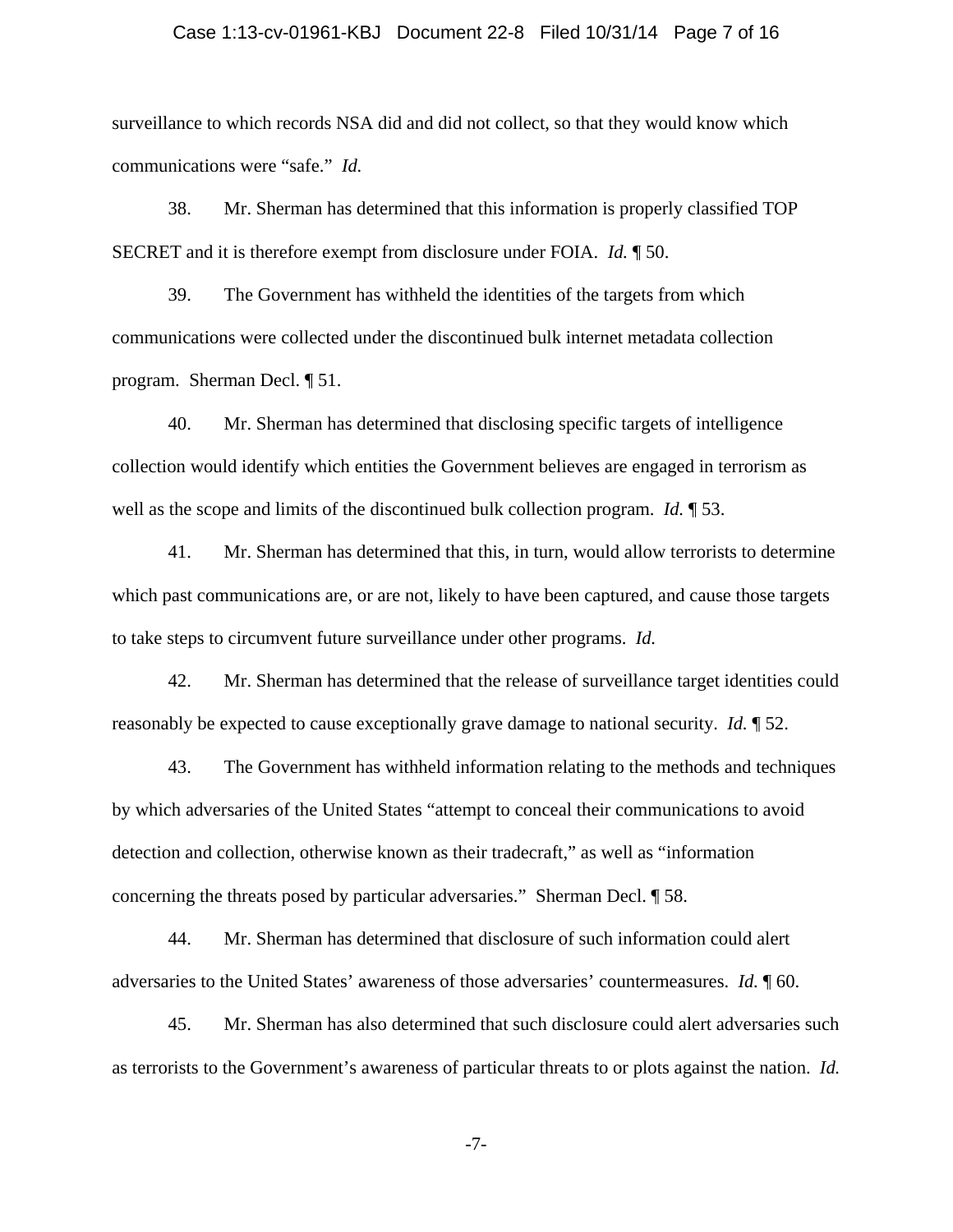## Case 1:13-cv-01961-KBJ Document 22-8 Filed 10/31/14 Page 7 of 16

surveillance to which records NSA did and did not collect, so that they would know which communications were "safe." *Id.*

38. Mr. Sherman has determined that this information is properly classified TOP SECRET and it is therefore exempt from disclosure under FOIA. *Id.* ¶ 50.

39. The Government has withheld the identities of the targets from which communications were collected under the discontinued bulk internet metadata collection program. Sherman Decl. ¶ 51.

40. Mr. Sherman has determined that disclosing specific targets of intelligence collection would identify which entities the Government believes are engaged in terrorism as well as the scope and limits of the discontinued bulk collection program. *Id.* ¶ 53.

41. Mr. Sherman has determined that this, in turn, would allow terrorists to determine which past communications are, or are not, likely to have been captured, and cause those targets to take steps to circumvent future surveillance under other programs. *Id.*

42. Mr. Sherman has determined that the release of surveillance target identities could reasonably be expected to cause exceptionally grave damage to national security. *Id.* ¶ 52.

43. The Government has withheld information relating to the methods and techniques by which adversaries of the United States "attempt to conceal their communications to avoid detection and collection, otherwise known as their tradecraft," as well as "information concerning the threats posed by particular adversaries." Sherman Decl. ¶ 58.

44. Mr. Sherman has determined that disclosure of such information could alert adversaries to the United States' awareness of those adversaries' countermeasures. *Id.* ¶ 60.

45. Mr. Sherman has also determined that such disclosure could alert adversaries such as terrorists to the Government's awareness of particular threats to or plots against the nation. *Id.*

-7-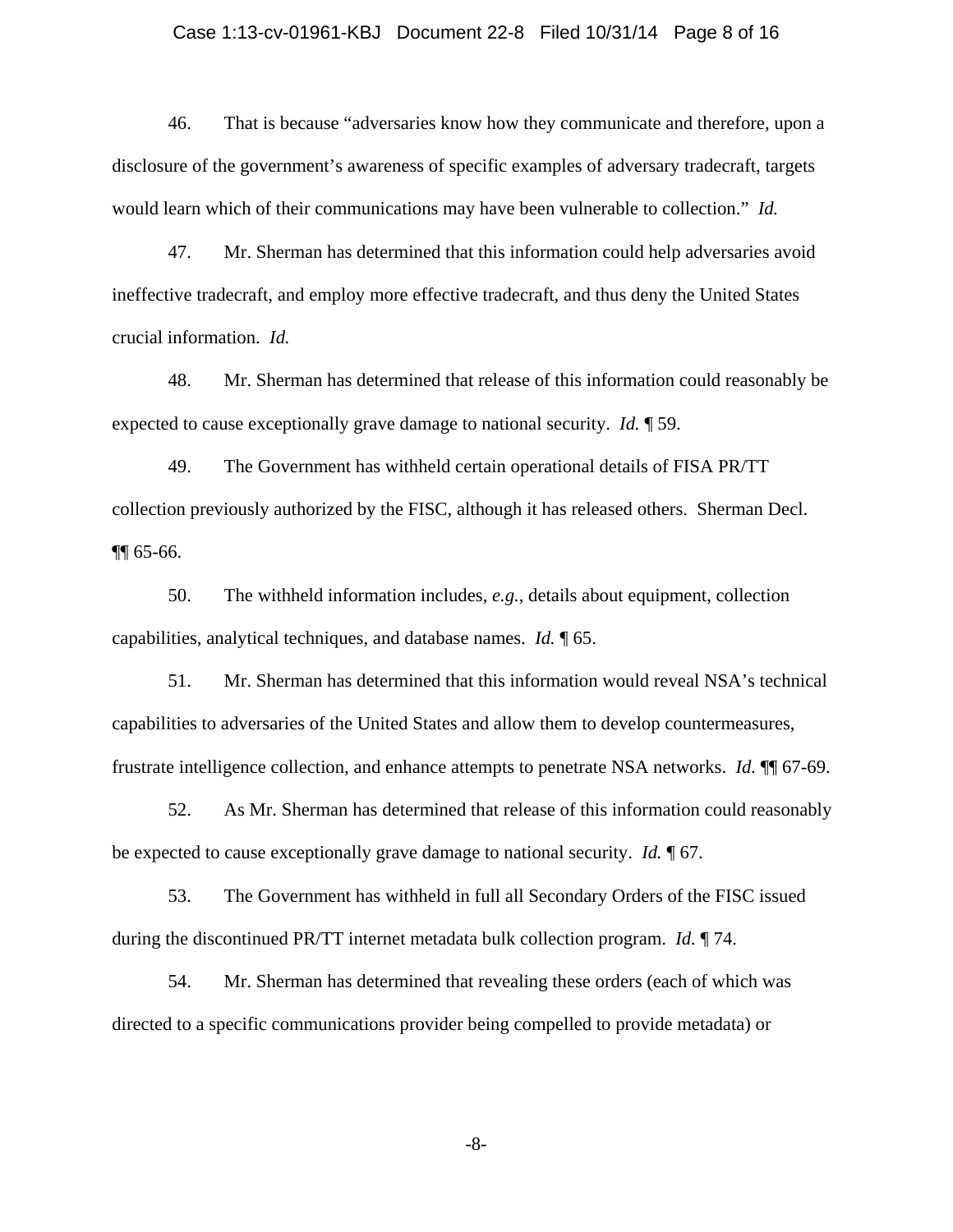## Case 1:13-cv-01961-KBJ Document 22-8 Filed 10/31/14 Page 8 of 16

46. That is because "adversaries know how they communicate and therefore, upon a disclosure of the government's awareness of specific examples of adversary tradecraft, targets would learn which of their communications may have been vulnerable to collection." *Id.*

47. Mr. Sherman has determined that this information could help adversaries avoid ineffective tradecraft, and employ more effective tradecraft, and thus deny the United States crucial information. *Id.*

48. Mr. Sherman has determined that release of this information could reasonably be expected to cause exceptionally grave damage to national security. *Id.* ¶ 59.

49. The Government has withheld certain operational details of FISA PR/TT collection previously authorized by the FISC, although it has released others. Sherman Decl. ¶¶ 65-66.

50. The withheld information includes, *e.g.*, details about equipment, collection capabilities, analytical techniques, and database names. *Id.* ¶ 65.

51. Mr. Sherman has determined that this information would reveal NSA's technical capabilities to adversaries of the United States and allow them to develop countermeasures, frustrate intelligence collection, and enhance attempts to penetrate NSA networks. *Id.* ¶¶ 67-69.

52. As Mr. Sherman has determined that release of this information could reasonably be expected to cause exceptionally grave damage to national security. *Id.* ¶ 67.

53. The Government has withheld in full all Secondary Orders of the FISC issued during the discontinued PR/TT internet metadata bulk collection program. *Id.* ¶ 74.

54. Mr. Sherman has determined that revealing these orders (each of which was directed to a specific communications provider being compelled to provide metadata) or

-8-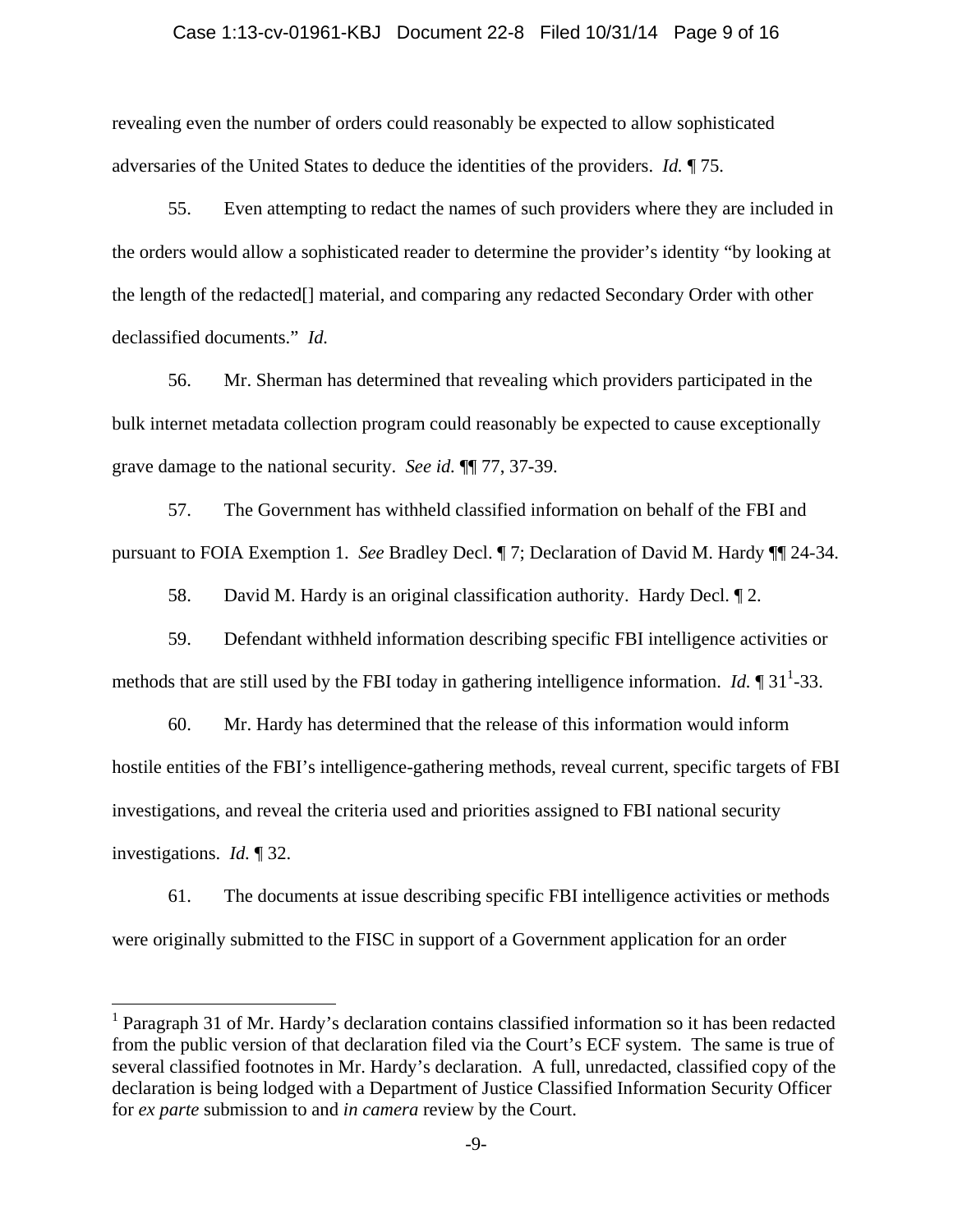#### Case 1:13-cv-01961-KBJ Document 22-8 Filed 10/31/14 Page 9 of 16

revealing even the number of orders could reasonably be expected to allow sophisticated adversaries of the United States to deduce the identities of the providers. *Id.* ¶ 75.

55. Even attempting to redact the names of such providers where they are included in the orders would allow a sophisticated reader to determine the provider's identity "by looking at the length of the redacted[] material, and comparing any redacted Secondary Order with other declassified documents." *Id.*

56. Mr. Sherman has determined that revealing which providers participated in the bulk internet metadata collection program could reasonably be expected to cause exceptionally grave damage to the national security. *See id.* ¶¶ 77, 37-39.

57. The Government has withheld classified information on behalf of the FBI and pursuant to FOIA Exemption 1. *See* Bradley Decl. ¶ 7; Declaration of David M. Hardy ¶¶ 24-34.

58. David M. Hardy is an original classification authority. Hardy Decl. ¶ 2.

59. Defendant withheld information describing specific FBI intelligence activities or methods that are still used by the FBI today in gathering intelligence information. *Id.*  $\P$  31<sup>1</sup>-33.

60. Mr. Hardy has determined that the release of this information would inform hostile entities of the FBI's intelligence-gathering methods, reveal current, specific targets of FBI investigations, and reveal the criteria used and priorities assigned to FBI national security investigations. *Id.* ¶ 32.

61. The documents at issue describing specific FBI intelligence activities or methods were originally submitted to the FISC in support of a Government application for an order

1

<sup>&</sup>lt;sup>1</sup> Paragraph 31 of Mr. Hardy's declaration contains classified information so it has been redacted from the public version of that declaration filed via the Court's ECF system. The same is true of several classified footnotes in Mr. Hardy's declaration. A full, unredacted, classified copy of the declaration is being lodged with a Department of Justice Classified Information Security Officer for *ex parte* submission to and *in camera* review by the Court.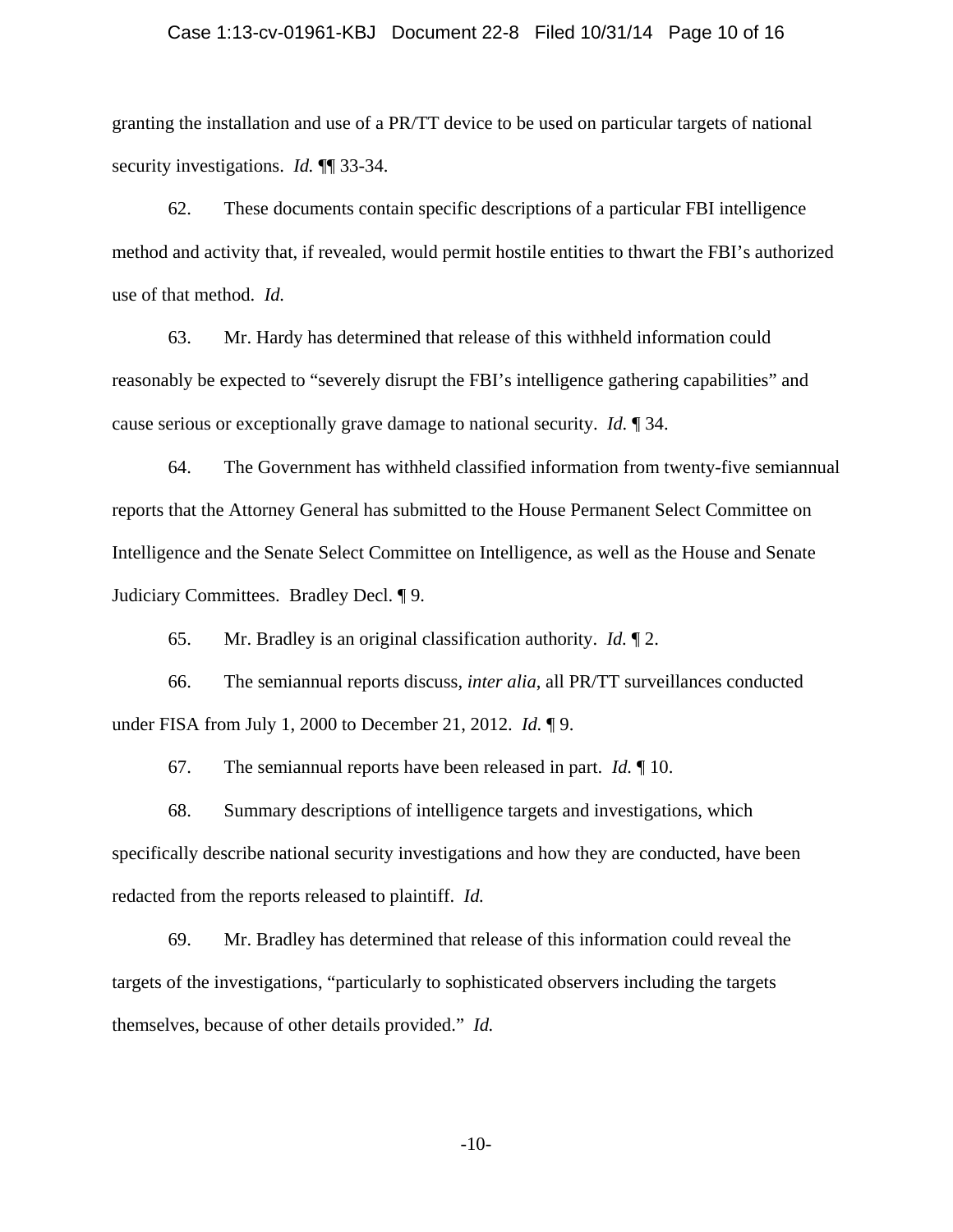## Case 1:13-cv-01961-KBJ Document 22-8 Filed 10/31/14 Page 10 of 16

granting the installation and use of a PR/TT device to be used on particular targets of national security investigations. *Id.* ¶¶ 33-34.

62. These documents contain specific descriptions of a particular FBI intelligence method and activity that, if revealed, would permit hostile entities to thwart the FBI's authorized use of that method. *Id.*

63. Mr. Hardy has determined that release of this withheld information could reasonably be expected to "severely disrupt the FBI's intelligence gathering capabilities" and cause serious or exceptionally grave damage to national security. *Id.* ¶ 34.

64. The Government has withheld classified information from twenty-five semiannual reports that the Attorney General has submitted to the House Permanent Select Committee on Intelligence and the Senate Select Committee on Intelligence, as well as the House and Senate Judiciary Committees. Bradley Decl. ¶ 9.

65. Mr. Bradley is an original classification authority. *Id.* ¶ 2.

66. The semiannual reports discuss, *inter alia*, all PR/TT surveillances conducted under FISA from July 1, 2000 to December 21, 2012. *Id.* ¶ 9.

67. The semiannual reports have been released in part. *Id.* ¶ 10.

68. Summary descriptions of intelligence targets and investigations, which specifically describe national security investigations and how they are conducted, have been redacted from the reports released to plaintiff. *Id.*

69. Mr. Bradley has determined that release of this information could reveal the targets of the investigations, "particularly to sophisticated observers including the targets themselves, because of other details provided." *Id.*

-10-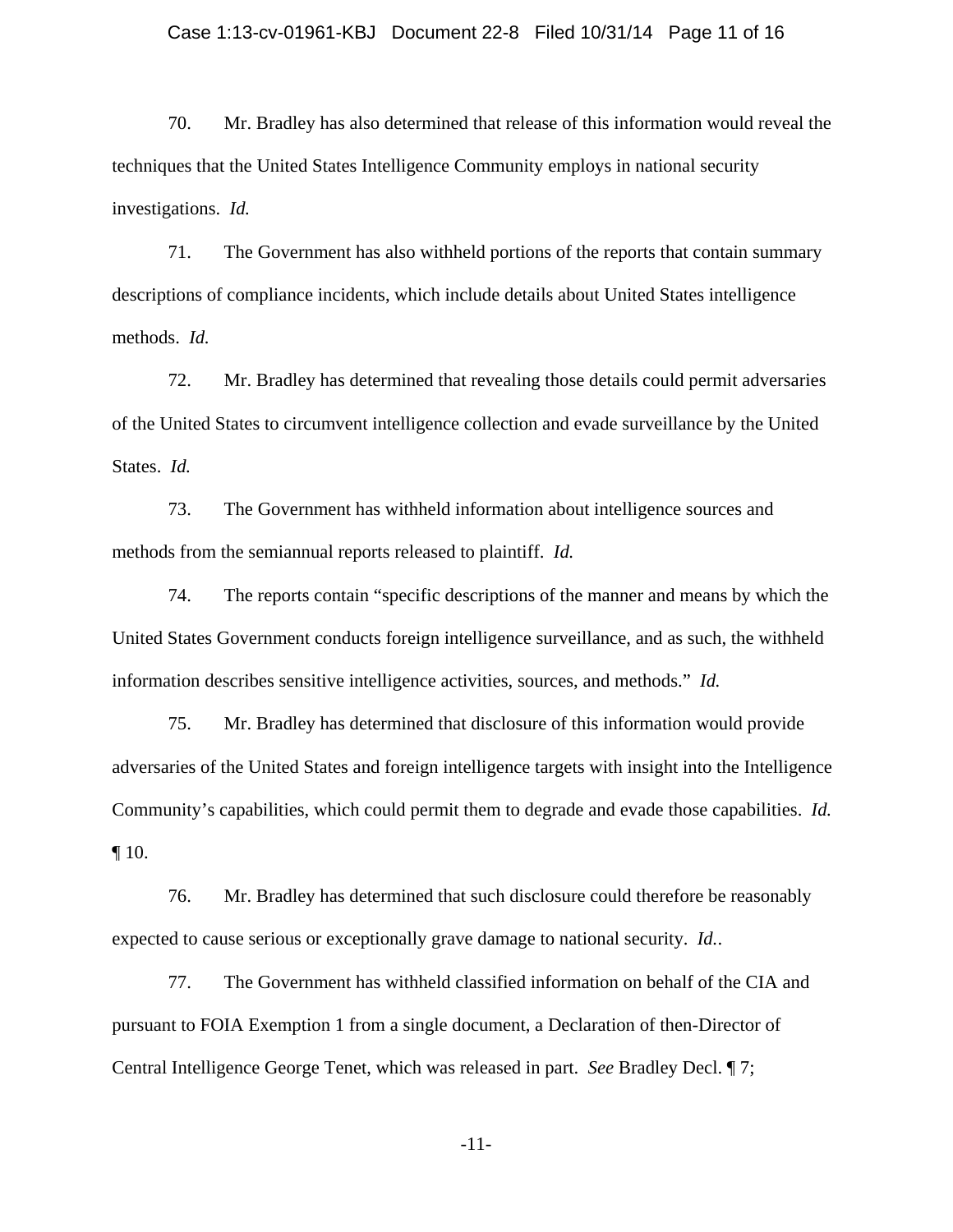#### Case 1:13-cv-01961-KBJ Document 22-8 Filed 10/31/14 Page 11 of 16

70. Mr. Bradley has also determined that release of this information would reveal the techniques that the United States Intelligence Community employs in national security investigations. *Id.*

71. The Government has also withheld portions of the reports that contain summary descriptions of compliance incidents, which include details about United States intelligence methods. *Id.*

72. Mr. Bradley has determined that revealing those details could permit adversaries of the United States to circumvent intelligence collection and evade surveillance by the United States. *Id.*

73. The Government has withheld information about intelligence sources and methods from the semiannual reports released to plaintiff. *Id.*

74. The reports contain "specific descriptions of the manner and means by which the United States Government conducts foreign intelligence surveillance, and as such, the withheld information describes sensitive intelligence activities, sources, and methods." *Id.*

75. Mr. Bradley has determined that disclosure of this information would provide adversaries of the United States and foreign intelligence targets with insight into the Intelligence Community's capabilities, which could permit them to degrade and evade those capabilities. *Id.* ¶ 10.

76. Mr. Bradley has determined that such disclosure could therefore be reasonably expected to cause serious or exceptionally grave damage to national security. *Id.*.

77. The Government has withheld classified information on behalf of the CIA and pursuant to FOIA Exemption 1 from a single document, a Declaration of then-Director of Central Intelligence George Tenet, which was released in part. *See* Bradley Decl. ¶ 7;

-11-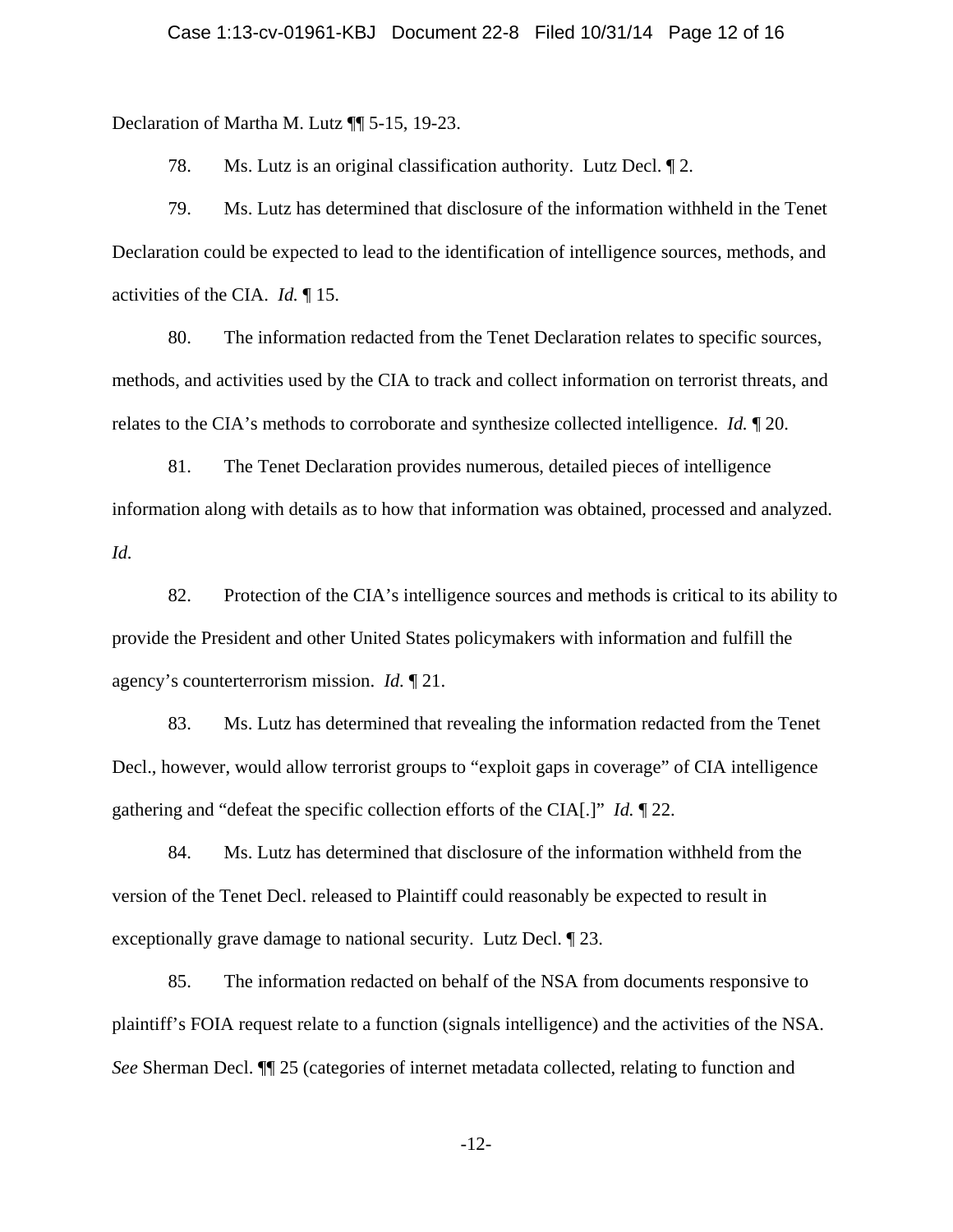Declaration of Martha M. Lutz ¶¶ 5-15, 19-23.

78. Ms. Lutz is an original classification authority. Lutz Decl. ¶ 2.

79. Ms. Lutz has determined that disclosure of the information withheld in the Tenet Declaration could be expected to lead to the identification of intelligence sources, methods, and activities of the CIA. *Id.* ¶ 15.

80. The information redacted from the Tenet Declaration relates to specific sources, methods, and activities used by the CIA to track and collect information on terrorist threats, and relates to the CIA's methods to corroborate and synthesize collected intelligence. *Id.* ¶ 20.

81. The Tenet Declaration provides numerous, detailed pieces of intelligence information along with details as to how that information was obtained, processed and analyzed. *Id.*

82. Protection of the CIA's intelligence sources and methods is critical to its ability to provide the President and other United States policymakers with information and fulfill the agency's counterterrorism mission. *Id.* ¶ 21.

83. Ms. Lutz has determined that revealing the information redacted from the Tenet Decl., however, would allow terrorist groups to "exploit gaps in coverage" of CIA intelligence gathering and "defeat the specific collection efforts of the CIA[.]" *Id.* ¶ 22.

84. Ms. Lutz has determined that disclosure of the information withheld from the version of the Tenet Decl. released to Plaintiff could reasonably be expected to result in exceptionally grave damage to national security. Lutz Decl. ¶ 23.

85. The information redacted on behalf of the NSA from documents responsive to plaintiff's FOIA request relate to a function (signals intelligence) and the activities of the NSA. *See* Sherman Decl. ¶¶ 25 (categories of internet metadata collected, relating to function and

-12-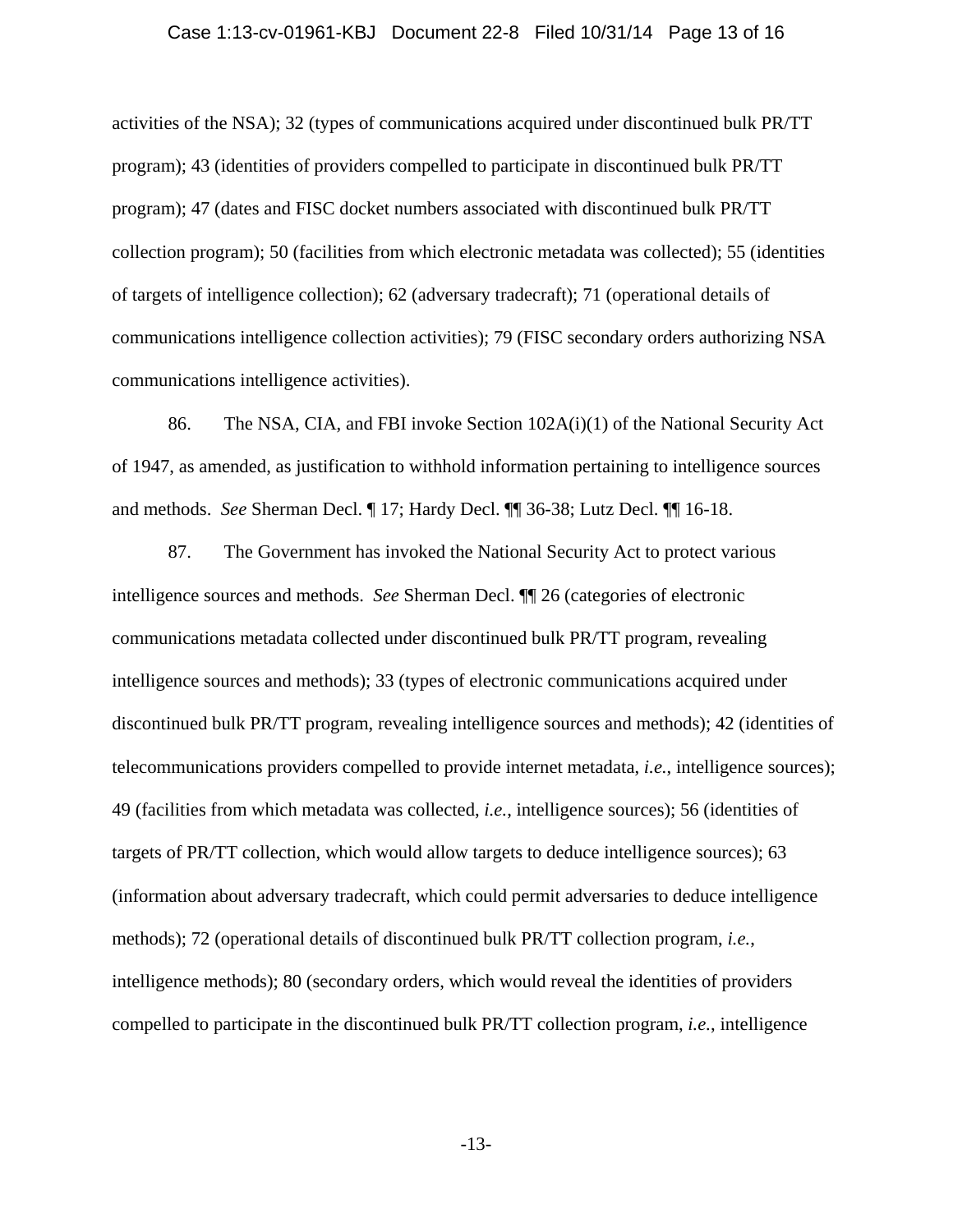## Case 1:13-cv-01961-KBJ Document 22-8 Filed 10/31/14 Page 13 of 16

activities of the NSA); 32 (types of communications acquired under discontinued bulk PR/TT program); 43 (identities of providers compelled to participate in discontinued bulk PR/TT program); 47 (dates and FISC docket numbers associated with discontinued bulk PR/TT collection program); 50 (facilities from which electronic metadata was collected); 55 (identities of targets of intelligence collection); 62 (adversary tradecraft); 71 (operational details of communications intelligence collection activities); 79 (FISC secondary orders authorizing NSA communications intelligence activities).

86. The NSA, CIA, and FBI invoke Section 102A(i)(1) of the National Security Act of 1947, as amended, as justification to withhold information pertaining to intelligence sources and methods. *See* Sherman Decl. ¶ 17; Hardy Decl. ¶¶ 36-38; Lutz Decl. ¶¶ 16-18.

87. The Government has invoked the National Security Act to protect various intelligence sources and methods. *See* Sherman Decl. ¶¶ 26 (categories of electronic communications metadata collected under discontinued bulk PR/TT program, revealing intelligence sources and methods); 33 (types of electronic communications acquired under discontinued bulk PR/TT program, revealing intelligence sources and methods); 42 (identities of telecommunications providers compelled to provide internet metadata, *i.e.*, intelligence sources); 49 (facilities from which metadata was collected, *i.e.*, intelligence sources); 56 (identities of targets of PR/TT collection, which would allow targets to deduce intelligence sources); 63 (information about adversary tradecraft, which could permit adversaries to deduce intelligence methods); 72 (operational details of discontinued bulk PR/TT collection program, *i.e.*, intelligence methods); 80 (secondary orders, which would reveal the identities of providers compelled to participate in the discontinued bulk PR/TT collection program, *i.e.*, intelligence

-13-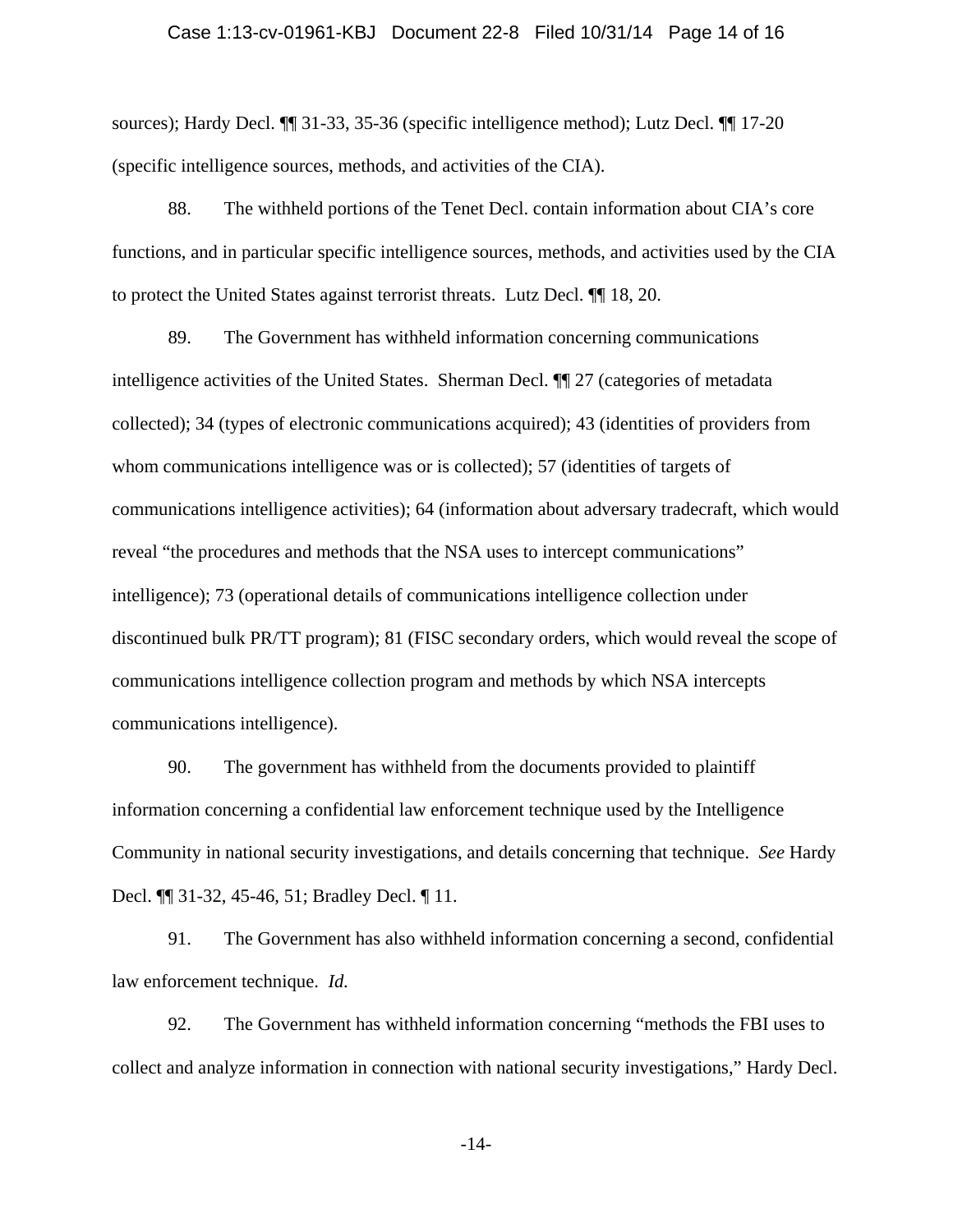## Case 1:13-cv-01961-KBJ Document 22-8 Filed 10/31/14 Page 14 of 16

sources); Hardy Decl. ¶¶ 31-33, 35-36 (specific intelligence method); Lutz Decl. ¶¶ 17-20 (specific intelligence sources, methods, and activities of the CIA).

88. The withheld portions of the Tenet Decl. contain information about CIA's core functions, and in particular specific intelligence sources, methods, and activities used by the CIA to protect the United States against terrorist threats. Lutz Decl. ¶¶ 18, 20.

89. The Government has withheld information concerning communications intelligence activities of the United States. Sherman Decl. ¶¶ 27 (categories of metadata collected); 34 (types of electronic communications acquired); 43 (identities of providers from whom communications intelligence was or is collected); 57 (identities of targets of communications intelligence activities); 64 (information about adversary tradecraft, which would reveal "the procedures and methods that the NSA uses to intercept communications" intelligence); 73 (operational details of communications intelligence collection under discontinued bulk PR/TT program); 81 (FISC secondary orders, which would reveal the scope of communications intelligence collection program and methods by which NSA intercepts communications intelligence).

90. The government has withheld from the documents provided to plaintiff information concerning a confidential law enforcement technique used by the Intelligence Community in national security investigations, and details concerning that technique. *See* Hardy Decl. ¶¶ 31-32, 45-46, 51; Bradley Decl. ¶ 11.

91. The Government has also withheld information concerning a second, confidential law enforcement technique. *Id.*

92. The Government has withheld information concerning "methods the FBI uses to collect and analyze information in connection with national security investigations," Hardy Decl.

-14-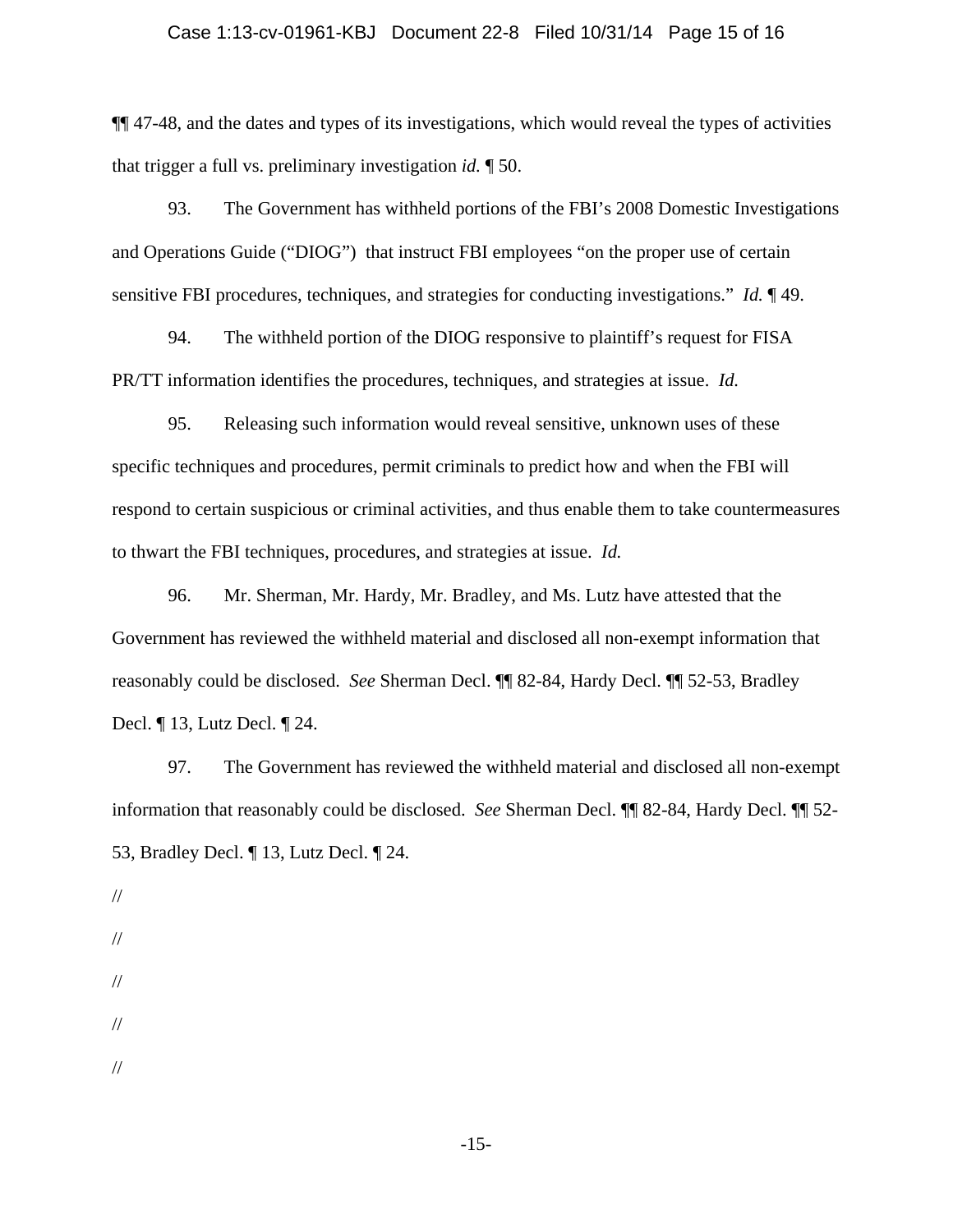## Case 1:13-cv-01961-KBJ Document 22-8 Filed 10/31/14 Page 15 of 16

¶¶ 47-48, and the dates and types of its investigations, which would reveal the types of activities that trigger a full vs. preliminary investigation *id.* ¶ 50.

93. The Government has withheld portions of the FBI's 2008 Domestic Investigations and Operations Guide ("DIOG") that instruct FBI employees "on the proper use of certain sensitive FBI procedures, techniques, and strategies for conducting investigations." *Id.* ¶ 49.

94. The withheld portion of the DIOG responsive to plaintiff's request for FISA PR/TT information identifies the procedures, techniques, and strategies at issue. *Id.*

95. Releasing such information would reveal sensitive, unknown uses of these specific techniques and procedures, permit criminals to predict how and when the FBI will respond to certain suspicious or criminal activities, and thus enable them to take countermeasures to thwart the FBI techniques, procedures, and strategies at issue. *Id.*

96. Mr. Sherman, Mr. Hardy, Mr. Bradley, and Ms. Lutz have attested that the Government has reviewed the withheld material and disclosed all non-exempt information that reasonably could be disclosed. *See* Sherman Decl. ¶¶ 82-84, Hardy Decl. ¶¶ 52-53, Bradley Decl. ¶ 13, Lutz Decl. ¶ 24.

97. The Government has reviewed the withheld material and disclosed all non-exempt information that reasonably could be disclosed. *See* Sherman Decl. ¶¶ 82-84, Hardy Decl. ¶¶ 52- 53, Bradley Decl. ¶ 13, Lutz Decl. ¶ 24.

// // //

//

//

-15-